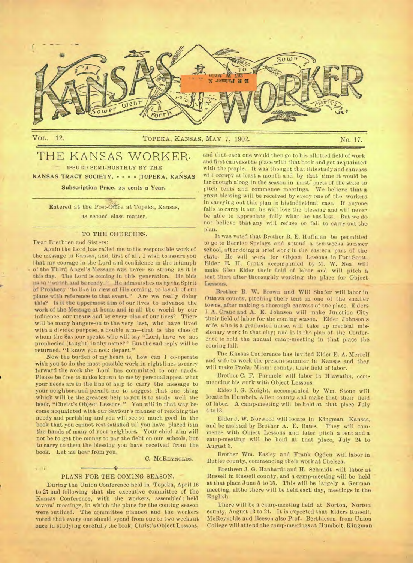

 $\mathbf{1} = \mathbf{F}$ 

## Vol,. 12. TOPEKA, KANSAS, MAY 7, 1902. No. 17.

# THE KANSAS WORKER. ISSUED SEMI-MONTHLY BY THE

**KANSAS TRACT SOCIETY, - - - - TOPEKA, KANSAS** 

**Subscription Price, 25 cents a Year.** 

Entered at the Post-Offtee at Topeka, Kansas, as second class matter.

## TO THE CHURCHES.

Dear Brethren and Sisters:

Again the Lord has called me to the responsible work of the message in Kansas, and, first of all. I wish to assure you that my courage in the Lord and confidence in the triumph **of** the Third Angel's Message was never so strong as it is **this** day. The Lord is coming in this generation. He bids us to "watch and be ready." He admonishes us by the Spirit **Of** Prophecy "to live in view of His coming, to lay all of our plans with reference to that event." Are we really doing this? Is it the uppermost aim of our lives to advance the work of the Message at home and in all the world by our influence, our means and by every plan of our lives? There will be many hangers-on to the very last, who have lived with a divided purpose, a double aim—that is the class of whom the Saviour speaks who will say "Lord, have we not prophecied (taught) in thy name?" But the sad reply will be returned, "I know you not: depart."

Now the burden of my heart is, how can I co-operate with you to do the most possible work in right lines to carry forward the work the Lord has committed to our hands. Please be free to make known to me by personal appeal what your needs are in the line of help to carry the message to your neighbors and permit me to suggest that one thing which will be the greatest help to you is to study well the book, "Christ's Object Lessons." You will in that way become acquainted with our Saviour's manner of reaching the needy and perishing and you will see so much good in the book that you cannot rest satisfied till you have placed it in. the hands of many of your neighbors. Your chief aim will not be to get the money to pay the debt on our schools, but **to** carry to them the blessing you have received from the book. Let me hear from you.

#### C. MCREYNOLDS.

#### PLANS FOR THE COMING SEASON.

During the Union Conference held in Topeka, April 16 to 27 and following that the executive committee of the Kansas Conference, with the workers, assembled; held several meetings, in which the plans for the coming season were outlined. The committee planned and the workers voted that every one should spend from one to two weeks at once in studying carefully the book, Christ's Object Lessons,

and that each one would then go to his allotted field of work and first canvass the place with that book and get acquainted with the people. It was thought that this study and canvass will occupy at least a month and by that time it would be far enough along in the season in most parts of the state to pitch tents and commence meetings. We believe that **a**  great blessing will be received by every one of the workers in carrying out this plan in his individual ease. If anyone fails to carry it out, he will lose the blessing and will never be able to appreciate fully what he has lost. But we do not believe that any will refuse or fail to carry out the plan.

It was voted that Brother B. E. Huffman be permitted to go to Berrien Springs and attend a ten-weeks summer school, after doing a brief work In the eastern part of **the**  state. He will work for Object Lessons in Fort Scott. Elder E. H. Curtis accompanied by M. W. Neal will make Glen Elder their field of labor and will pitch **a**  tent there after thoroughly working the place for Object Lessons.

Brother B. **W.** Brown and Will Shafer will labor in Ottawa county, pitching their tent in one of the smaller towns, after making a thorough canvass of the place. Elders **I. A.** Crane and A. E. Johnson will make Junction City their field of labor for the coming season. Elder Johnson's wife, who is a graduated nurse, will take up medical missionary work in that city; and it is the plan of the Conference to hold the annual camp-meeting in that place the coming fall.

The Kansas Conference has invited Elder E. A. Merrell and wife to work the present summer in Kansas and they will make Paola; Miami county, their field of labor.

Brother C. F. Parmele will labor in Hiawatha, commencing his work with Object Lessons.

Elder I. G. Knight, accompanied by Wm. Stone will locate in Humbolt. Allen county and make that their field of labor. A camp-meeting will be held at that place July 4 to 13.

Elder J. W. Norwood will locate in Kingman, Kansas, and be assisted by Brother A. E. Bates. They will commence with Object Lessons and later pitch a tent and a camp-meeting will be held at that place, July 24 to August 3.

Brother Wm. Easley and Frank Ogden will labor in Butler county, commencing their work at Chelsea.

Brethren J. G. Hanhardt and H. Schmidt will labor at Russell in Russell county, and a camp-meeting will be held at that place June 5 to 15. This will be largely a German meeting, altho there will be held each day, meetings in the English.

There will be a camp-meeting held at Norton, Norton county, August 13 to 24. It is expected that Elders Russell, McReynolds and Beeson also Prof. Berthleson from Union College will attend the camp-meetings at IIumbolt, Kingman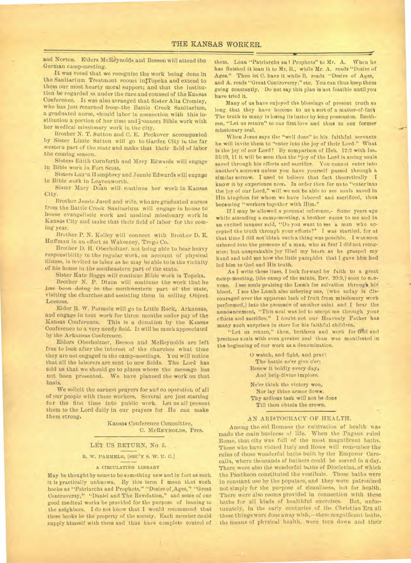and Norton. Elders McReynolds and Beeson will attend the German camp-meeting.

It was voted that we recognize the work being done in the Sanitarium Treatment rooms injTopeka and extend to them our most hearty moral support; and that the institution be regarded as under the care and counsel of the Kansas Conference. It was also arranged that Sister Alta Cromley, who has just returned from'•the Battle Creek Sanitarium, a graduated nurse, should labor in connection with this institution a portion of her time and jouncet Bible work with her medical missionary work in the city.

Brother N. T. Sutton and C. E. Peckover accompanied by Sister Lizzie Sutton will go to Garden City in the far western part of the state and make that their field of labor the coming season.

Sisters Edith Cornforth and Mary Edwards will engage in Bible work in Fort Scott.

Sisters Laura Humphrey and Jennie Edwards will engage in Bible work in Leavenworth.

Sister Mary Doan will continue her work in Kansas City.

Brother Jessie Jared and wife, who are graduated nurses from the Battle Creek Sanitarium will engage in house to house evangelistic work and medical missionary work in Kansas City and make that their field of labor for the coming year.

Brother P. N. Kelley will connect with Brother D. E. Huffman in an effort at Wakeeney, Trego Co.

Brother D. H. Oberholtzer. not being able to bear heavy responsibility in the regular work, on account of physical illness, is invited to labor as he may be able to in the vicinity of his home in the southeastern part of the state.

Sister Kate Boggs will continue Bible work in Topeka.

Brother N. P. Dixon will continue the work that he has been doing in the northwestern part of the state, visiting the churches and assisting them in selling Object Lessons.

Elder R. W. Parmele will go to Little Rock, Arkansas, and engage in tent work for three months under pay of the Kansas Conference. This is a donation by the Kansas Conference to a very needy field. It will be much appreciated by the Arkansas Conference.

Elders Oberholtzer, Beeson and McReynolds are left free to look after the interest of the churches what time they are not engaged in the camp-meetings. Y ou will notice that all the laborers are sent to new fields. The Lord has told us that we should go to places where the message has not been presented. We have planned the work on that basis.

We solicit the earnest prayers for and co operation of all of our people with these workers. Several are just starting for the first time into public work. Let us all present them to the Lord daily in our prayers for He can make them strong.

> Kansas Conference Committee, C. MCREYNOLDS, Pres.

## LET US RETURN, No. 5.

## R. W. PARMELE, (SEC'Y S. W. U. C.)

#### A CIRCULATING LIBRARY

May be thought by some to be something new and in fact as such it is practically unknown. By this term I mean that such books as "Patriarchs and Prophets," "Desire of Ages," "Great Controversy," "Daniel and The Revelation," and some of our good medical works be provided for the purpose of loaning to the neighbors. I do not know that I would recommend that these books be the property of the society. Each member could supply himself with them and thus have complete control of

them. Loan "Patriarchs an i Prophets" to Mr. A. When he has finished it loan it to Mr. B., while Mr. A. reads "Desire of Ages." Then let C. have it while B. reads "Desire of Ages, and A. reads "Great Controversy;" etc. You can thus keep them going constantly. Do not say this plan is not feasible until you have tried it.

Many of us have enjoyed the blessings of present truth so long that they have become to us a sort of a matter-of-fact The truth to many is losing its luster by long possession. Brethren, "Let us return" to our first love and thus to our former missionary zeal.

When Jesus says the "well done" to his faithful servants he will invite them to "enter into the joy of their Lord." What is the joy of our Lord? By comparison of Heb. 12:9 with Ise. 53:10, 11 it will be seen that the "joy of the Lord is seeing souls saved through his efforts and sacrifice. You cannot enter into another's sorrows unless you have yourself passed through a similar sorrow. I used to believe that fact theoretically I know it by experience now. In order then for us to "enter Into the joy of our Lord," will we not be able to see souls saved in His kingdom for whom we have labored and sacrificed, thus becoming "workers together with Him."

If I may be allowed a personal reference,- Some years ago while attending a camp-meeting, a brother came to me and in an excited manner said, "Do you want to see a man who accepted the truth through your efforts?" I was startled, for at that time I did not think such a thing was possible. I was soon ushered into the presence of a man, who at first I did not recognize; but unspeakable joy filled my heart. as he grasped my hand and told me hoW the little pamphlet that I gave him had led him to God and His truth.

As I write these lines, I look forward by faith to a great camp-meeting, (the camp of the saints, Rev. 20:0,) soon to cunvene. I see souls praising the Lamb for salvation through his blood. I see the Lamb also ushering one, '(who today is discouraged over the apparent lack of fruit from missionary work performed,) into the presence of another saint and I hear the announcement, "This soul was led to accept me through your efforts and sacrifice." I doubt not our Heavenly Father has many such surprises in store for his faithful children.

"Let us return," then, brethren and work for God and precious souls with even greater zeal than was manifested in the beginning of our work as a denomination.

> 0 watch, and fight, and pray! The battle ne'er give o'er; Renew it boldly every day, And help divine implore.

Ne'er think the victory won, Nor lay thine armor down; Thy ardious task will not be done Till thou obtain the crown.

## AN ARISTOCRACY OF HEALTH.

Among the old Romans the cultivation of health was made the main business of life. When the Pagans ruled Rome, that city was full of the most magnificent baths. Those who have visited Italy and Rome will remember the ruins of those wonderful baths built by the Emperor Caracalla, where thousands of bathers could be served in a day. There were also the wonderful baths of Diocletian, of which the Pantheon constituted the vestibule. Those baths were in constant use by the populace, and they were patronized not simply for the purpose of cleanliness, but for health. There were also rooms provided in connection with these baths for all kinds of healthful exercises. But, unfortunately, in the early centuries of the Christian Era all these things were done away with,—these magnificent baths, the means of physical health, were torn down and their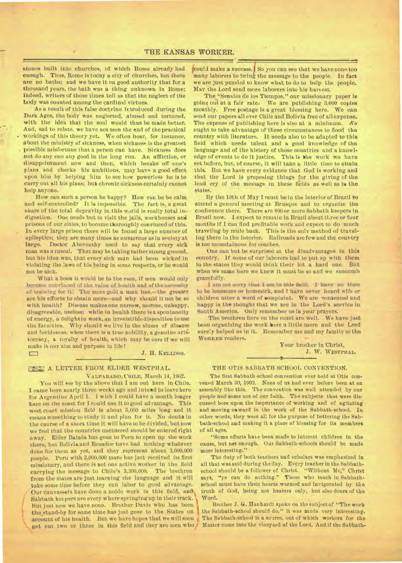stones built into churches, of which Rome already had enough. Thus, Rome is today a city of churches, but there are no baths; and we have it on good authority that for a thousand years, the bath was a thing unknown in Rome; indeed, writers of those times tell us that the neglect of the body was counted among the cardinal virtues.

As a result of this false doctrine ir.troduced during the Dark Ages, the body was neglected, abused and tortured. with the idea that the soul would thus be made better. And, sad to relate, we have not seen the end of the practical workings of this theory yet. We often hear, for instance, about the ministry of sickness, when sickness is the greatest possible misfortune that a person can have. Sickness does not do any one any good in the long run. An affliction, or disappointment now and then, which breaks off one's plans and checks his ambitions, may have a good effect upon him by helping him to see how powerless he is to carry out all his plans; but chronic sickness certainly cannot help anyone.

How can such a person be happy? How can he be calm and self-controlled? It is impossible. The fact is, a great share of the total depravity in this world is really total indigestion. One needs but to visit the jails, workhouses and. prisons of our cities, to become thoroughly convinced of this. In every large prison there will be found a large number of epileptics; they are many times as numerous as in society at large. Doctor Abernethy used to say that every sick Doctor Abernethy used to say that every sick man was a rascal. That may be taking rather strong ground, but his idea was, that every sick man had been wicked in violating the laws of his being in some respects, or he would not be sick.

What a boon it would be to the race, if men would only become convinced of the value of health and of the necessity of training for it: The more gold a man has.—the greater are his efforts to obtain more—and why should It not be so with health? Disease makes one narrow, morose, unhappy, disagreeable, useless; while in health there is a spontaneity of energy, a delight in work, an irresistible disposition to use the faculties. Why should we live in the slums of disease and feebleness, when there is a true nobility, a genuine aristocracy, a royalty of health, which may be ours if we will make it our aim and purpose in life?<br> **D** J. H. KELLOGG.

## **MIR A LETTER FROM ELDER WESTPHAL.**

**VALPARAISO, CHILE,** March 14, 19G2.

You will see by the above that **I** am out here in Chile. I came here nearly three weeks ago and intend to leave here for Argentine April 1. I wish I could have a month longer here on the coast for **I** could use it to good advantage. This west coast mission field is about 5,000 miles long and it means something to study it and plan for it. No doubb in the course of a short time it will have to be divided, but now we feel that the countries unentered should be entered right away. Elder Balada has gone to Peru to open up the work there, but Bolivia and Ecuador have had nothing whatever done for them as yet, and they represent about 3,000,000 people. Peru with 3,000,000 more has just received its first missionary, and there is not one active worker in the field carrying the message to Chile's 3,300,000. The brethren from the states are just learning the language and it will take some tine before they can labor to good advantage. Our canvassers have done a noble work in this field, and\ Sabbath keepers are every where springing up in their track. But just now we have none. Brother Davis who has been. the stand-by for some time has just gone to the States on account of his health. But we have hopes that we will soon get out two or three in this field and they are men who

could make a success. So you can see that we have none too many laborers to bring the message to the people. In fact we are just puzzled to know what to do to help the people. May the Lord send more laborers into his harvest.

The"Senales de los Tiempos," our missionary paper is going out at a fair rate. We are publishing 3,000 copies monthly. Free postage is a great blessing here. We can send our papers all over Chile and Bolivia free of all expense. The expense of publishing here is also at a minimum. We ought to take advantage of these circumstances to flood the country with literature. It needs also to be adapted to this field which needs talent and a good knowledge of the language and of the history of those countries and a knowledge of events to do it justice. This is the work we have set before, but, of course, it will take a little time to attain this. But we have every evidence that God is working and that the Lord is proposing things for the giving of the loud cry of the message in these fields as well as in the states.

By the 10th of May I must be in the interior of Brazil bo attend a general meeting at Brusque and to organize the conference there. There are 800 or more Sabbath keepers in Brazil now. **I** expect to remain in Brazil about three or four months if I can find profitable work and expect to do much traveling by mule'back. This is the only method of traveling there in the interior. Railroads are few and the country is too mountainous for coaches.

One can but be surprised at the disadvantages in this country. if some of our laborers had to put up with them in the states they would think their lot *a* hard **one. But**  when we came here we knew it must be so and we succumb gracef wily.

I am not sorry that I am in this field. I have no time to be lonesome or homesick, and I have never heard wife or children utter a word of complaint. We are contented and happy in the thought that we are in the Lord's service in South America. Only remember **us** in your prayers.

The brethren here on the coast are well. We have just been organizing the work here a little more and the Lord sure'y helped us in it. Remember me and my family to the **WORKER** readers. •

> Your brother in Christ, J. W. **WESTPHAL.**

## THE OTIS SABBATH-SCHOOL CONVENTION.

The first Sabbath-school convention ever held at Otis convened March 30,1902. None of us had ever before been at an assembly like this. The convention was well attended by our people and some not of our faith. The subjects that were discussed bore upon the importance of working and of agitating and moving onward in the work of the Sabbath-school. *In*  other words, they were all for the purpose of bettering the Sabbath-school and making it a place of blessing for its members of all ages.

"Some efforts have been made to interest children in the cause, but net enough. Our Sabbath-schools should be made more interesting."

The duty of both teachers and scholars was emphasized in all that was said during the day. Every teacher In the Sabbathschool should be a follower of Christ. "Without Me," Christ says, "ye can do nothing." Those who teach in Sabbathschool must have their hearts warmed and invigorated by the truth of God, being not hearers only, but also doers of the Word.

Brother J. G. Hanhardt spoke on the subject of "The work the Sabbath-school should do," it was made very interesting. The Sabbath-school is a source, out of which workers for the Master come into the vineyard of the Lord. And if the Sabbath